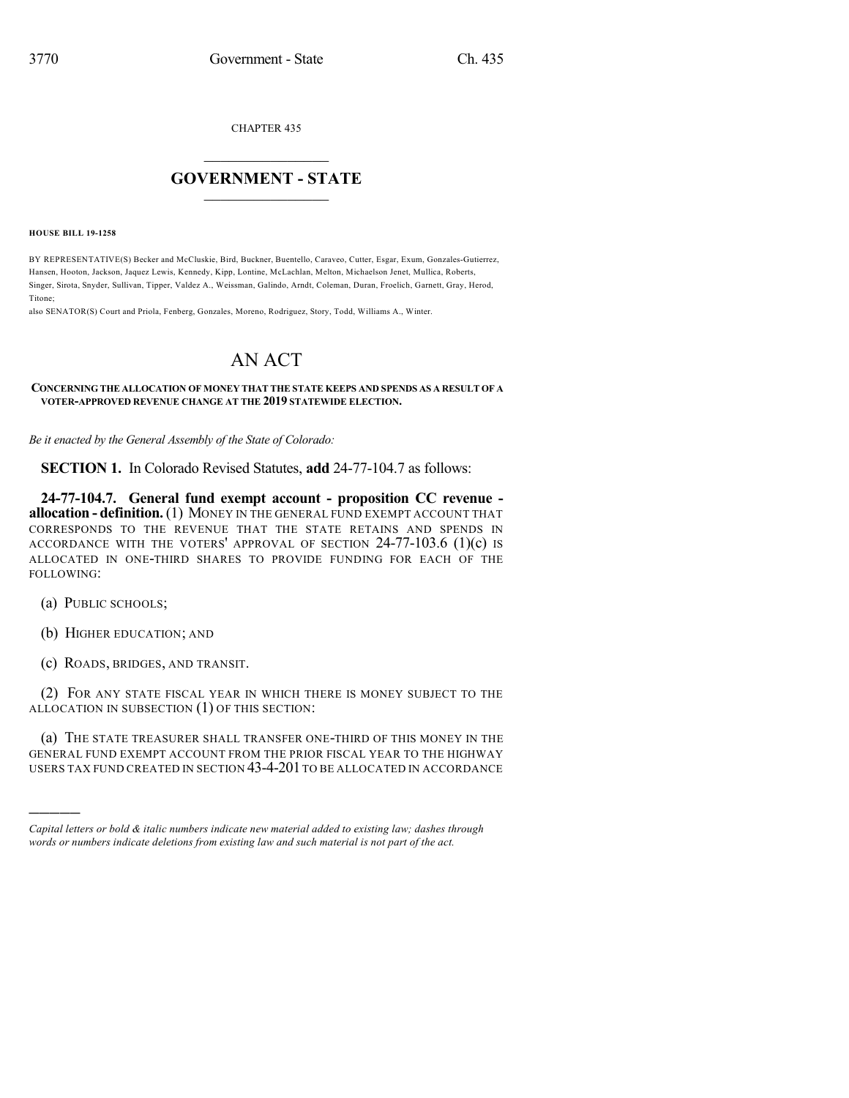CHAPTER 435

## $\mathcal{L}_\text{max}$  . The set of the set of the set of the set of the set of the set of the set of the set of the set of the set of the set of the set of the set of the set of the set of the set of the set of the set of the set **GOVERNMENT - STATE**  $\_$   $\_$   $\_$   $\_$   $\_$   $\_$   $\_$   $\_$   $\_$

**HOUSE BILL 19-1258**

BY REPRESENTATIVE(S) Becker and McCluskie, Bird, Buckner, Buentello, Caraveo, Cutter, Esgar, Exum, Gonzales-Gutierrez, Hansen, Hooton, Jackson, Jaquez Lewis, Kennedy, Kipp, Lontine, McLachlan, Melton, Michaelson Jenet, Mullica, Roberts, Singer, Sirota, Snyder, Sullivan, Tipper, Valdez A., Weissman, Galindo, Arndt, Coleman, Duran, Froelich, Garnett, Gray, Herod, Titone;

also SENATOR(S) Court and Priola, Fenberg, Gonzales, Moreno, Rodriguez, Story, Todd, Williams A., Winter.

## AN ACT

## **CONCERNING THE ALLOCATION OF MONEY THAT THE STATE KEEPS AND SPENDS AS A RESULT OF A VOTER-APPROVED REVENUE CHANGE AT THE 2019 STATEWIDE ELECTION.**

*Be it enacted by the General Assembly of the State of Colorado:*

**SECTION 1.** In Colorado Revised Statutes, **add** 24-77-104.7 as follows:

**24-77-104.7. General fund exempt account - proposition CC revenue allocation - definition.**(1) MONEY IN THE GENERAL FUND EXEMPT ACCOUNT THAT CORRESPONDS TO THE REVENUE THAT THE STATE RETAINS AND SPENDS IN ACCORDANCE WITH THE VOTERS' APPROVAL OF SECTION 24-77-103.6 (1)(c) IS ALLOCATED IN ONE-THIRD SHARES TO PROVIDE FUNDING FOR EACH OF THE FOLLOWING:

(a) PUBLIC SCHOOLS;

)))))

- (b) HIGHER EDUCATION; AND
- (c) ROADS, BRIDGES, AND TRANSIT.

(2) FOR ANY STATE FISCAL YEAR IN WHICH THERE IS MONEY SUBJECT TO THE ALLOCATION IN SUBSECTION (1) OF THIS SECTION:

(a) THE STATE TREASURER SHALL TRANSFER ONE-THIRD OF THIS MONEY IN THE GENERAL FUND EXEMPT ACCOUNT FROM THE PRIOR FISCAL YEAR TO THE HIGHWAY USERS TAX FUND CREATED IN SECTION 43-4-201 TO BE ALLOCATED IN ACCORDANCE

*Capital letters or bold & italic numbers indicate new material added to existing law; dashes through words or numbers indicate deletions from existing law and such material is not part of the act.*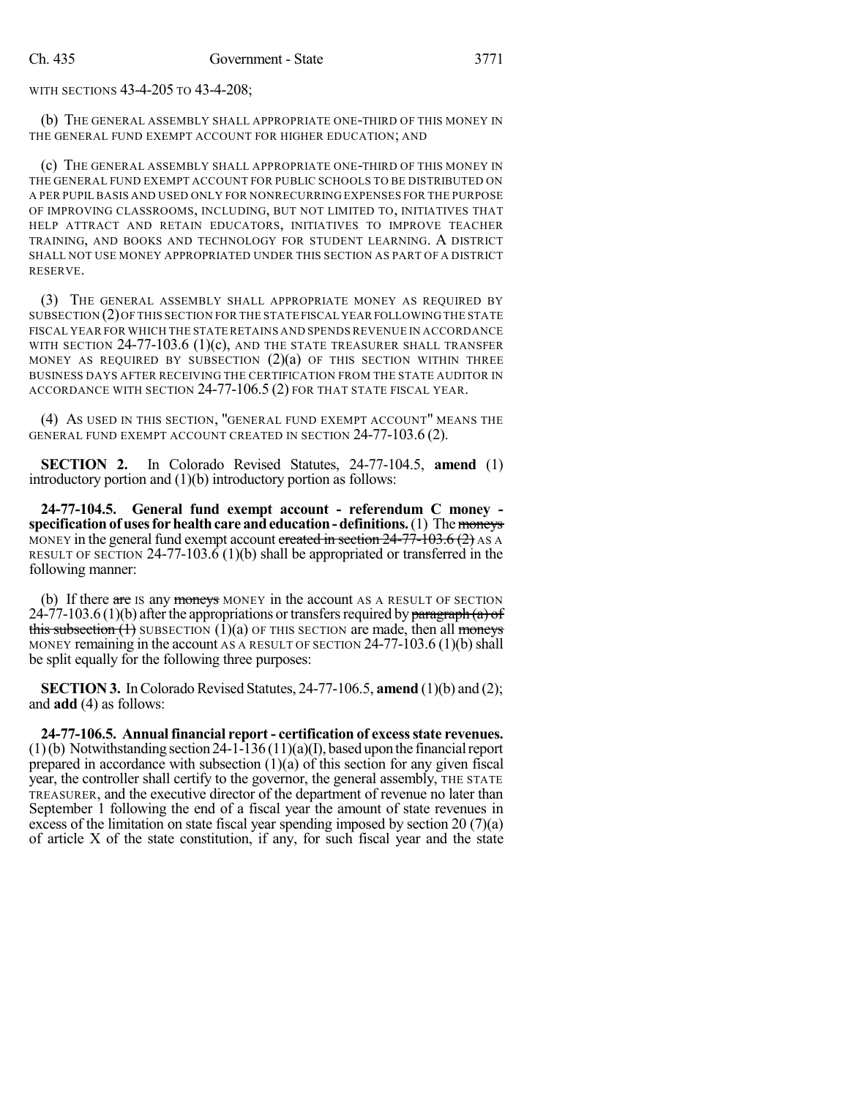WITH SECTIONS 43-4-205 TO 43-4-208;

(b) THE GENERAL ASSEMBLY SHALL APPROPRIATE ONE-THIRD OF THIS MONEY IN THE GENERAL FUND EXEMPT ACCOUNT FOR HIGHER EDUCATION; AND

(c) THE GENERAL ASSEMBLY SHALL APPROPRIATE ONE-THIRD OF THIS MONEY IN THE GENERAL FUND EXEMPT ACCOUNT FOR PUBLIC SCHOOLS TO BE DISTRIBUTED ON A PER PUPIL BASIS AND USED ONLY FOR NONRECURRING EXPENSES FOR THE PURPOSE OF IMPROVING CLASSROOMS, INCLUDING, BUT NOT LIMITED TO, INITIATIVES THAT HELP ATTRACT AND RETAIN EDUCATORS, INITIATIVES TO IMPROVE TEACHER TRAINING, AND BOOKS AND TECHNOLOGY FOR STUDENT LEARNING. A DISTRICT SHALL NOT USE MONEY APPROPRIATED UNDER THIS SECTION AS PART OF A DISTRICT RESERVE.

(3) THE GENERAL ASSEMBLY SHALL APPROPRIATE MONEY AS REQUIRED BY SUBSECTION (2)OF THIS SECTION FOR THE STATE FISCAL YEAR FOLLOWING THE STATE FISCAL YEAR FOR WHICH THE STATE RETAINS AND SPENDS REVENUE IN ACCORDANCE WITH SECTION  $24-77-103.6$  (1)(c), and the state treasurer shall transfer MONEY AS REQUIRED BY SUBSECTION  $(2)(a)$  of this section within three BUSINESS DAYS AFTER RECEIVING THE CERTIFICATION FROM THE STATE AUDITOR IN ACCORDANCE WITH SECTION 24-77-106.5 (2) FOR THAT STATE FISCAL YEAR.

(4) AS USED IN THIS SECTION, "GENERAL FUND EXEMPT ACCOUNT" MEANS THE GENERAL FUND EXEMPT ACCOUNT CREATED IN SECTION 24-77-103.6 (2).

**SECTION 2.** In Colorado Revised Statutes, 24-77-104.5, **amend** (1) introductory portion and (1)(b) introductory portion as follows:

**24-77-104.5. General fund exempt account - referendum C money specification** of uses for health care and education - definitions. (1) The moneys MONEY in the general fund exempt account created in section  $24-77-103.6$  (2) AS A RESULT OF SECTION 24-77-103.6 (1)(b) shall be appropriated or transferred in the following manner:

(b) If there are IS any moneys MONEY in the account AS A RESULT OF SECTION 24-77-103.6 (1)(b) after the appropriations or transfers required by paragraph (a) of this subsection  $(1)$  SUBSECTION  $(1)(a)$  OF THIS SECTION are made, then all moneys MONEY remaining in the account AS A RESULT OF SECTION  $24-77-103.6(1)(b)$  shall be split equally for the following three purposes:

**SECTION 3.** In Colorado Revised Statutes, 24-77-106.5, **amend** (1)(b) and (2); and **add** (4) as follows:

**24-77-106.5. Annualfinancial report - certification of excessstate revenues.**  $(1)(b)$  Notwithstanding section 24-1-136  $(11)(a)(I)$ , based upon the financial report prepared in accordance with subsection  $(1)(a)$  of this section for any given fiscal year, the controller shall certify to the governor, the general assembly, THE STATE TREASURER, and the executive director of the department of revenue no later than September 1 following the end of a fiscal year the amount of state revenues in excess of the limitation on state fiscal year spending imposed by section 20 (7)(a) of article X of the state constitution, if any, for such fiscal year and the state